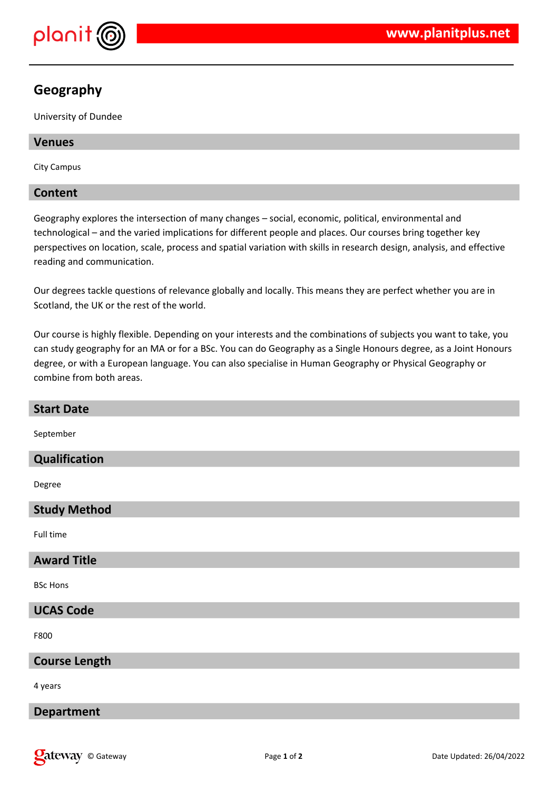

# **Geography**

University of Dundee

## **Venues**

City Campus

## **Content**

Geography explores the intersection of many changes – social, economic, political, environmental and technological – and the varied implications for different people and places. Our courses bring together key perspectives on location, scale, process and spatial variation with skills in research design, analysis, and effective reading and communication.

Our degrees tackle questions of relevance globally and locally. This means they are perfect whether you are in Scotland, the UK or the rest of the world.

Our course is highly flexible. Depending on your interests and the combinations of subjects you want to take, you can study geography for an MA or for a BSc. You can do Geography as a Single Honours degree, as a Joint Honours degree, or with a European language. You can also specialise in Human Geography or Physical Geography or combine from both areas.

| <b>Start Date</b>    |
|----------------------|
| September            |
| <b>Qualification</b> |
| Degree               |
| <b>Study Method</b>  |
| Full time            |
| <b>Award Title</b>   |
| <b>BSc Hons</b>      |
| <b>UCAS Code</b>     |
| F800                 |
| <b>Course Length</b> |
| 4 years              |
| <b>Department</b>    |
|                      |